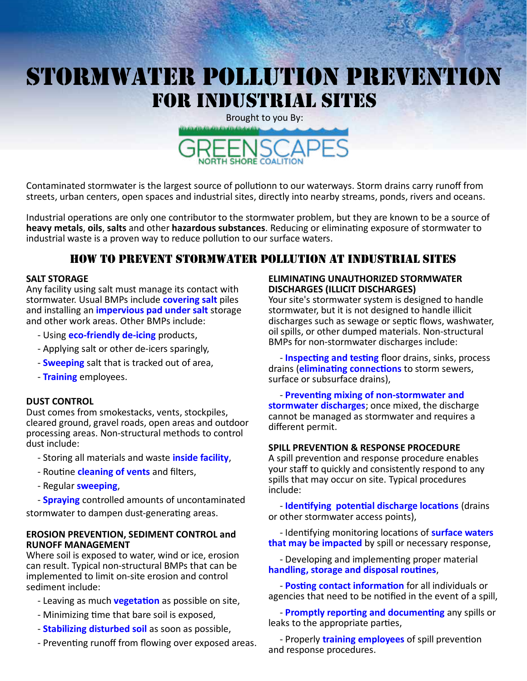# STORMWATER POLLUTION PREVENTION FOR INDUSTRIAL SITES

Brought to you By: ORTH SHORE COALITION

Contaminated stormwater is the largest source of pollutionn to our waterways. Storm drains carry runoff from streets, urban centers, open spaces and industrial sites, directly into nearby streams, ponds, rivers and oceans.

Industrial operations are only one contributor to the stormwater problem, but they are known to be a source of **heavy metals**, **oils**, **salts** and other **hazardous substances**. Reducing or eliminating exposure of stormwater to industrial waste is a proven way to reduce pollution to our surface waters.

## How to Prevent stormwater pollution at industrial sites

#### **SALT STORAGE**

Any facility using salt must manage its contact with stormwater. Usual BMPs include **covering salt** piles and installing an **impervious pad under salt** storage and other work areas. Other BMPs include:

- Using **eco-friendly de-icing** products,
- Applying salt or other de-icers sparingly,
- **Sweeping** salt that is tracked out of area,
- **Training** employees.

#### **DUST CONTROL**

Dust comes from smokestacks, vents, stockpiles, cleared ground, gravel roads, open areas and outdoor processing areas. Non-structural methods to control dust include:

- Storing all materials and waste **inside facility**,
- Routine **cleaning of vents** and filters,
- Regular **sweeping**,

 - **Spraying** controlled amounts of uncontaminated stormwater to dampen dust-generating areas.

#### **EROSION PREVENTION, SEDIMENT CONTROL and RUNOFF MANAGEMENT**

Where soil is exposed to water, wind or ice, erosion can result. Typical non-structural BMPs that can be implemented to limit on-site erosion and control sediment include:

- Leaving as much **vegetation** as possible on site,
- Minimizing time that bare soil is exposed,
- **Stabilizing disturbed soil** as soon as possible,
- Preventing runoff from flowing over exposed areas.

#### **ELIMINATING UNAUTHORIZED STORMWATER DISCHARGES (ILLICIT DISCHARGES)**

Your site's stormwater system is designed to handle stormwater, but it is not designed to handle illicit discharges such as sewage or septic flows, washwater, oil spills, or other dumped materials. Non-structural BMPs for non-stormwater discharges include:

 - **Inspecting and testing** floor drains, sinks, process drains (**eliminating connections** to storm sewers, surface or subsurface drains),

 - **Preventing mixing of non-stormwater and stormwater discharges**; once mixed, the discharge cannot be managed as stormwater and requires a different permit.

#### **SPILL PREVENTION & RESPONSE PROCEDURE**

A spill prevention and response procedure enables your staff to quickly and consistently respond to any spills that may occur on site. Typical procedures include:

 - **Identifying potential discharge locations** (drains or other stormwater access points),

 - Identifying monitoring locations of **surface waters that may be impacted** by spill or necessary response,

 - Developing and implementing proper material **handling, storage and disposal routines**,

 - **Posting contact information** for all individuals or agencies that need to be notified in the event of a spill,

 - **Promptly reporting and documenting** any spills or leaks to the appropriate parties,

 - Properly **training employees** of spill prevention and response procedures.